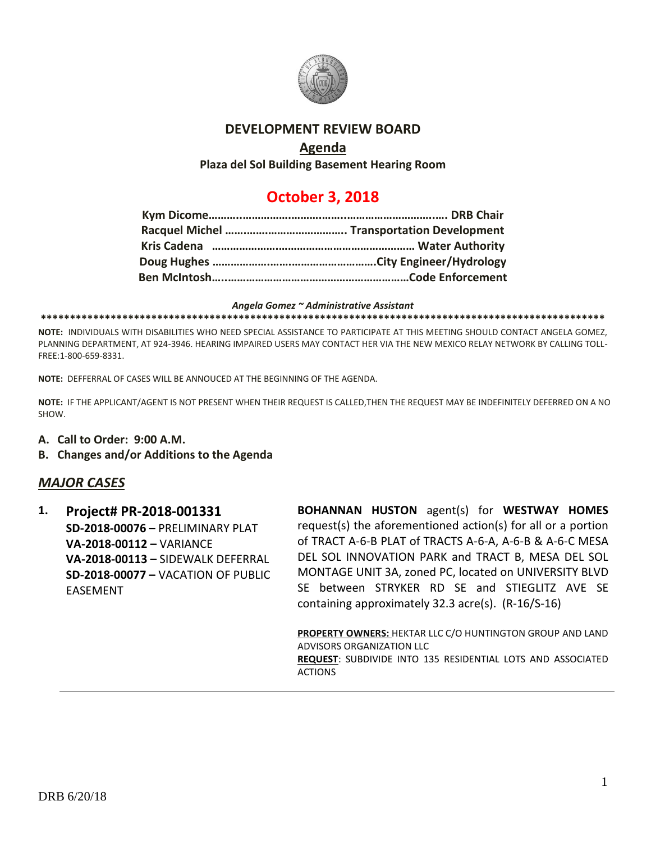

# **DEVELOPMENT REVIEW BOARD**

# **Agenda**

**Plaza del Sol Building Basement Hearing Room**

# **October 3, 2018**

*Angela Gomez ~ Administrative Assistant* **\*\*\*\*\*\*\*\*\*\*\*\*\*\*\*\*\*\*\*\*\*\*\*\*\*\*\*\*\*\*\*\*\*\*\*\*\*\*\*\*\*\*\*\*\*\*\*\*\*\*\*\*\*\*\*\*\*\*\*\*\*\*\*\*\*\*\*\*\*\*\*\*\*\*\*\*\*\*\*\*\*\*\*\*\*\*\*\*\*\*\*\*\*\*\*\*\***

**NOTE:** INDIVIDUALS WITH DISABILITIES WHO NEED SPECIAL ASSISTANCE TO PARTICIPATE AT THIS MEETING SHOULD CONTACT ANGELA GOMEZ, PLANNING DEPARTMENT, AT 924-3946. HEARING IMPAIRED USERS MAY CONTACT HER VIA THE NEW MEXICO RELAY NETWORK BY CALLING TOLL-FREE:1-800-659-8331.

**NOTE:** DEFFERRAL OF CASES WILL BE ANNOUCED AT THE BEGINNING OF THE AGENDA.

**NOTE:** IF THE APPLICANT/AGENT IS NOT PRESENT WHEN THEIR REQUEST IS CALLED,THEN THE REQUEST MAY BE INDEFINITELY DEFERRED ON A NO SHOW.

- **A. Call to Order: 9:00 A.M.**
- **B. Changes and/or Additions to the Agenda**

# *MAJOR CASES*

**1. Project# PR-2018-001331 SD-2018-00076** – PRELIMINARY PLAT **VA-2018-00112 –** VARIANCE **VA-2018-00113 –** SIDEWALK DEFERRAL **SD-2018-00077 –** VACATION OF PUBLIC EASEMENT

**BOHANNAN HUSTON** agent(s) for **WESTWAY HOMES** request(s) the aforementioned action(s) for all or a portion of TRACT A-6-B PLAT of TRACTS A-6-A, A-6-B & A-6-C MESA DEL SOL INNOVATION PARK and TRACT B, MESA DEL SOL MONTAGE UNIT 3A, zoned PC, located on UNIVERSITY BLVD SE between STRYKER RD SE and STIEGLITZ AVE SE containing approximately 32.3 acre(s). (R-16/S-16)

**PROPERTY OWNERS:** HEKTAR LLC C/O HUNTINGTON GROUP AND LAND ADVISORS ORGANIZATION LLC **REQUEST**: SUBDIVIDE INTO 135 RESIDENTIAL LOTS AND ASSOCIATED **ACTIONS**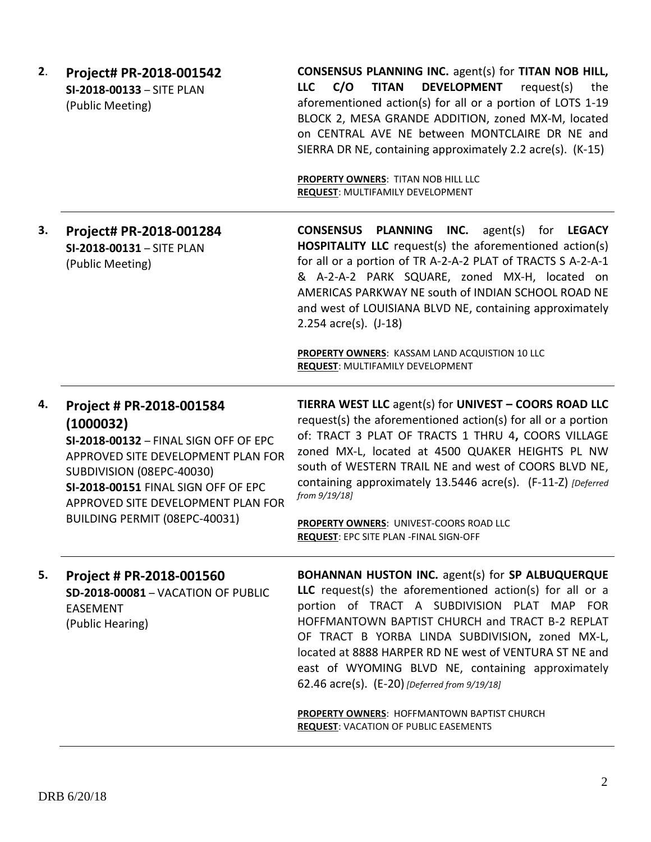| 2. | Project# PR-2018-001542<br>SI-2018-00133 - SITE PLAN<br>(Public Meeting)                                                                                                                                                                                        | <b>CONSENSUS PLANNING INC.</b> agent(s) for TITAN NOB HILL,<br><b>TITAN</b><br><b>DEVELOPMENT</b><br><b>LLC</b><br>C/O<br>request(s)<br>the<br>aforementioned action(s) for all or a portion of LOTS 1-19<br>BLOCK 2, MESA GRANDE ADDITION, zoned MX-M, located<br>on CENTRAL AVE NE between MONTCLAIRE DR NE and<br>SIERRA DR NE, containing approximately 2.2 acre(s). (K-15)                                                                                      |
|----|-----------------------------------------------------------------------------------------------------------------------------------------------------------------------------------------------------------------------------------------------------------------|----------------------------------------------------------------------------------------------------------------------------------------------------------------------------------------------------------------------------------------------------------------------------------------------------------------------------------------------------------------------------------------------------------------------------------------------------------------------|
|    |                                                                                                                                                                                                                                                                 | PROPERTY OWNERS: TITAN NOB HILL LLC<br>REQUEST: MULTIFAMILY DEVELOPMENT                                                                                                                                                                                                                                                                                                                                                                                              |
| 3. | Project# PR-2018-001284<br>SI-2018-00131 - SITE PLAN<br>(Public Meeting)                                                                                                                                                                                        | <b>CONSENSUS PLANNING</b><br>INC.<br>agent(s) for <b>LEGACY</b><br><b>HOSPITALITY LLC</b> request(s) the aforementioned action(s)<br>for all or a portion of TR A-2-A-2 PLAT of TRACTS S A-2-A-1<br>& A-2-A-2 PARK SQUARE, zoned MX-H, located on<br>AMERICAS PARKWAY NE south of INDIAN SCHOOL ROAD NE<br>and west of LOUISIANA BLVD NE, containing approximately<br>2.254 $acc(s)$ . (J-18)<br>PROPERTY OWNERS: KASSAM LAND ACQUISTION 10 LLC                      |
|    |                                                                                                                                                                                                                                                                 | <b>REQUEST: MULTIFAMILY DEVELOPMENT</b>                                                                                                                                                                                                                                                                                                                                                                                                                              |
| 4. | Project # PR-2018-001584<br>(1000032)<br>SI-2018-00132 - FINAL SIGN OFF OF EPC<br>APPROVED SITE DEVELOPMENT PLAN FOR<br>SUBDIVISION (08EPC-40030)<br>SI-2018-00151 FINAL SIGN OFF OF EPC<br>APPROVED SITE DEVELOPMENT PLAN FOR<br>BUILDING PERMIT (08EPC-40031) | TIERRA WEST LLC agent(s) for UNIVEST - COORS ROAD LLC<br>request(s) the aforementioned action(s) for all or a portion<br>of: TRACT 3 PLAT OF TRACTS 1 THRU 4, COORS VILLAGE<br>zoned MX-L, located at 4500 QUAKER HEIGHTS PL NW<br>south of WESTERN TRAIL NE and west of COORS BLVD NE,<br>containing approximately 13.5446 acre(s). (F-11-Z) [Deferred<br>from 9/19/18]<br>PROPERTY OWNERS: UNIVEST-COORS ROAD LLC<br><b>REQUEST: EPC SITE PLAN -FINAL SIGN-OFF</b> |
|    |                                                                                                                                                                                                                                                                 |                                                                                                                                                                                                                                                                                                                                                                                                                                                                      |
| 5. | Project # PR-2018-001560<br><b>SD-2018-00081 - VACATION OF PUBLIC</b><br><b>EASEMENT</b><br>(Public Hearing)                                                                                                                                                    | <b>BOHANNAN HUSTON INC.</b> agent(s) for SP ALBUQUERQUE<br>LLC request(s) the aforementioned action(s) for all or a<br>portion of TRACT A SUBDIVISION PLAT MAP FOR<br>HOFFMANTOWN BAPTIST CHURCH and TRACT B-2 REPLAT<br>OF TRACT B YORBA LINDA SUBDIVISION, zoned MX-L,<br>located at 8888 HARPER RD NE west of VENTURA ST NE and<br>east of WYOMING BLVD NE, containing approximately<br>62.46 acre(s). (E-20) [Deferred from 9/19/18]                             |
|    |                                                                                                                                                                                                                                                                 | <b>PROPERTY OWNERS: HOFFMANTOWN BAPTIST CHURCH</b><br><b>REQUEST: VACATION OF PUBLIC EASEMENTS</b>                                                                                                                                                                                                                                                                                                                                                                   |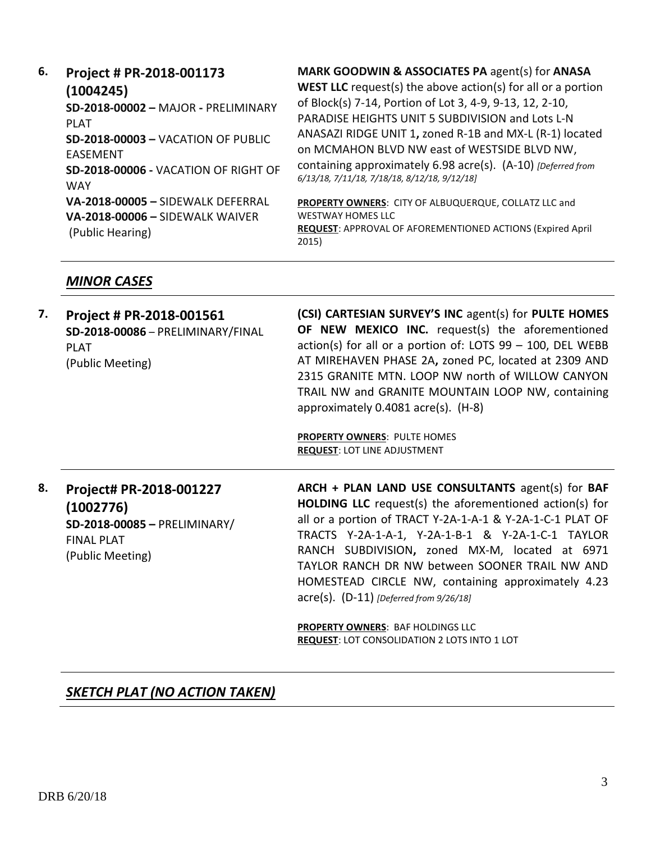**6. Project # PR-2018-001173 (1004245) SD-2018-00002 –** MAJOR **-** PRELIMINARY PLAT **SD-2018-00003 –** VACATION OF PUBLIC EASEMENT **SD-2018-00006 -** VACATION OF RIGHT OF **WAY VA-2018-00005 –** SIDEWALK DEFERRAL **VA-2018-00006 –** SIDEWALK WAIVER (Public Hearing) **MARK GOODWIN & ASSOCIATES PA** agent(s) for **ANASA WEST LLC** request(s) the above action(s) for all or a portion of Block(s) 7-14, Portion of Lot 3, 4-9, 9-13, 12, 2-10, PARADISE HEIGHTS UNIT 5 SUBDIVISION and Lots L-N ANASAZI RIDGE UNIT 1**,** zoned R-1B and MX-L (R-1) located on MCMAHON BLVD NW east of WESTSIDE BLVD NW, containing approximately 6.98 acre(s). (A-10) *[Deferred from 6/13/18, 7/11/18, 7/18/18, 8/12/18, 9/12/18]* **PROPERTY OWNERS**: CITY OF ALBUQUERQUE, COLLATZ LLC and WESTWAY HOMES LLC **REQUEST**: APPROVAL OF AFOREMENTIONED ACTIONS (Expired April 2015)

## *MINOR CASES*

| 7. | Project # PR-2018-001561<br>SD-2018-00086 - PRELIMINARY/FINAL<br><b>PLAT</b><br>(Public Meeting)              | (CSI) CARTESIAN SURVEY'S INC agent(s) for PULTE HOMES<br><b>OF NEW MEXICO INC.</b> request(s) the aforementioned<br>$action(s)$ for all or a portion of: LOTS 99 - 100, DEL WEBB<br>AT MIREHAVEN PHASE 2A, zoned PC, located at 2309 AND<br>2315 GRANITE MTN. LOOP NW north of WILLOW CANYON<br>TRAIL NW and GRANITE MOUNTAIN LOOP NW, containing<br>approximately 0.4081 acre(s). (H-8)<br><b>PROPERTY OWNERS: PULTE HOMES</b><br><b>REQUEST: LOT LINE ADJUSTMENT</b>                          |
|----|---------------------------------------------------------------------------------------------------------------|-------------------------------------------------------------------------------------------------------------------------------------------------------------------------------------------------------------------------------------------------------------------------------------------------------------------------------------------------------------------------------------------------------------------------------------------------------------------------------------------------|
| 8. | Project# PR-2018-001227<br>(1002776)<br>SD-2018-00085 - PRELIMINARY/<br><b>FINAL PLAT</b><br>(Public Meeting) | ARCH + PLAN LAND USE CONSULTANTS agent(s) for BAF<br><b>HOLDING LLC</b> request(s) the aforementioned action(s) for<br>all or a portion of TRACT Y-2A-1-A-1 & Y-2A-1-C-1 PLAT OF<br>TRACTS Y-2A-1-A-1, Y-2A-1-B-1 & Y-2A-1-C-1 TAYLOR<br>RANCH SUBDIVISION, zoned MX-M, located at 6971<br>TAYLOR RANCH DR NW between SOONER TRAIL NW AND<br>HOMESTEAD CIRCLE NW, containing approximately 4.23<br>$\text{acre}(s)$ . (D-11) [Deferred from 9/26/18]<br><b>PROPERTY OWNERS</b> RAF HOLDINGS LLC |

**PROPERTY OWNERS**: BAF HOLDINGS LLC **REQUEST**: LOT CONSOLIDATION 2 LOTS INTO 1 LOT

# *SKETCH PLAT (NO ACTION TAKEN)*